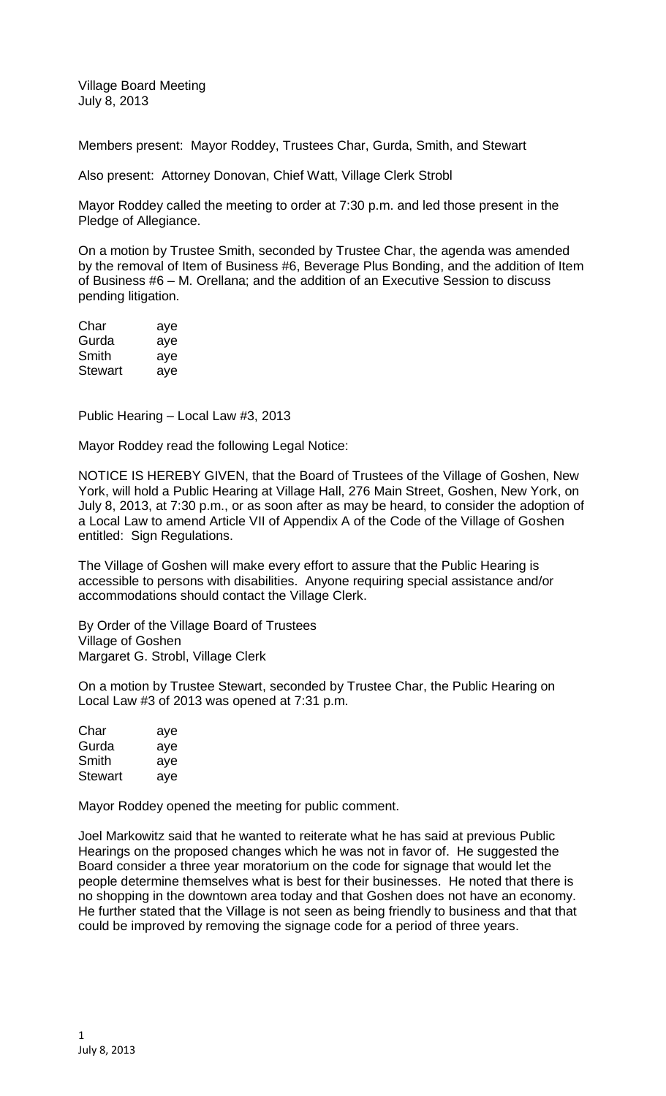Village Board Meeting July 8, 2013

Members present: Mayor Roddey, Trustees Char, Gurda, Smith, and Stewart

Also present: Attorney Donovan, Chief Watt, Village Clerk Strobl

Mayor Roddey called the meeting to order at 7:30 p.m. and led those present in the Pledge of Allegiance.

On a motion by Trustee Smith, seconded by Trustee Char, the agenda was amended by the removal of Item of Business #6, Beverage Plus Bonding, and the addition of Item of Business #6 – M. Orellana; and the addition of an Executive Session to discuss pending litigation.

| Char    | aye |
|---------|-----|
| Gurda   | aye |
| Smith   | aye |
| Stewart | aye |

Public Hearing – Local Law #3, 2013

Mayor Roddey read the following Legal Notice:

NOTICE IS HEREBY GIVEN, that the Board of Trustees of the Village of Goshen, New York, will hold a Public Hearing at Village Hall, 276 Main Street, Goshen, New York, on July 8, 2013, at 7:30 p.m., or as soon after as may be heard, to consider the adoption of a Local Law to amend Article VII of Appendix A of the Code of the Village of Goshen entitled: Sign Regulations.

The Village of Goshen will make every effort to assure that the Public Hearing is accessible to persons with disabilities. Anyone requiring special assistance and/or accommodations should contact the Village Clerk.

By Order of the Village Board of Trustees Village of Goshen Margaret G. Strobl, Village Clerk

On a motion by Trustee Stewart, seconded by Trustee Char, the Public Hearing on Local Law #3 of 2013 was opened at 7:31 p.m.

| Char           | aye |
|----------------|-----|
| Gurda          | aye |
| Smith          | aye |
| <b>Stewart</b> | aye |

Mayor Roddey opened the meeting for public comment.

Joel Markowitz said that he wanted to reiterate what he has said at previous Public Hearings on the proposed changes which he was not in favor of. He suggested the Board consider a three year moratorium on the code for signage that would let the people determine themselves what is best for their businesses. He noted that there is no shopping in the downtown area today and that Goshen does not have an economy. He further stated that the Village is not seen as being friendly to business and that that could be improved by removing the signage code for a period of three years.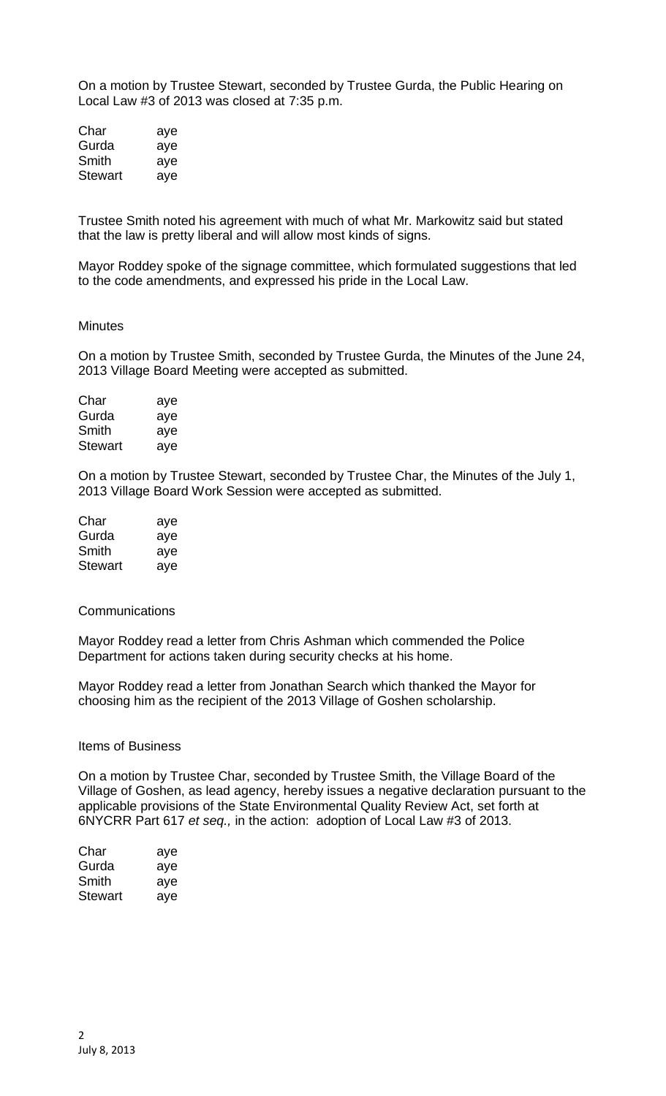On a motion by Trustee Stewart, seconded by Trustee Gurda, the Public Hearing on Local Law #3 of 2013 was closed at 7:35 p.m.

| Char    | aye |
|---------|-----|
| Gurda   | aye |
| Smith   | aye |
| Stewart | aye |

Trustee Smith noted his agreement with much of what Mr. Markowitz said but stated that the law is pretty liberal and will allow most kinds of signs.

Mayor Roddey spoke of the signage committee, which formulated suggestions that led to the code amendments, and expressed his pride in the Local Law.

## **Minutes**

On a motion by Trustee Smith, seconded by Trustee Gurda, the Minutes of the June 24, 2013 Village Board Meeting were accepted as submitted.

| Char           | aye |
|----------------|-----|
| Gurda          | aye |
| Smith          | aye |
| <b>Stewart</b> | aye |

On a motion by Trustee Stewart, seconded by Trustee Char, the Minutes of the July 1, 2013 Village Board Work Session were accepted as submitted.

| Char    | aye |
|---------|-----|
| Gurda   | aye |
| Smith   | aye |
| Stewart | aye |

## Communications

Mayor Roddey read a letter from Chris Ashman which commended the Police Department for actions taken during security checks at his home.

Mayor Roddey read a letter from Jonathan Search which thanked the Mayor for choosing him as the recipient of the 2013 Village of Goshen scholarship.

## Items of Business

On a motion by Trustee Char, seconded by Trustee Smith, the Village Board of the Village of Goshen, as lead agency, hereby issues a negative declaration pursuant to the applicable provisions of the State Environmental Quality Review Act, set forth at 6NYCRR Part 617 *et seq.,* in the action: adoption of Local Law #3 of 2013.

| Char    | aye |
|---------|-----|
| Gurda   | aye |
| Smith   | aye |
| Stewart | ave |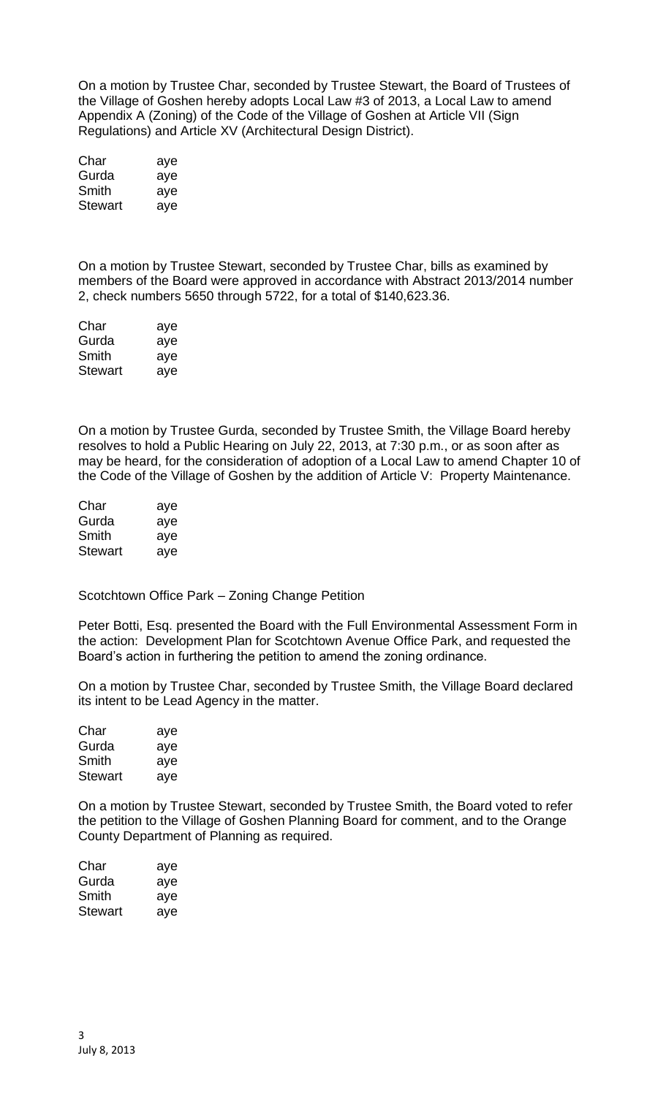On a motion by Trustee Char, seconded by Trustee Stewart, the Board of Trustees of the Village of Goshen hereby adopts Local Law #3 of 2013, a Local Law to amend Appendix A (Zoning) of the Code of the Village of Goshen at Article VII (Sign Regulations) and Article XV (Architectural Design District).

| Char           | aye |
|----------------|-----|
| Gurda          | aye |
| Smith          | aye |
| <b>Stewart</b> | aye |

On a motion by Trustee Stewart, seconded by Trustee Char, bills as examined by members of the Board were approved in accordance with Abstract 2013/2014 number 2, check numbers 5650 through 5722, for a total of \$140,623.36.

| Char           | aye |
|----------------|-----|
| Gurda          | aye |
| Smith          | aye |
| <b>Stewart</b> | aye |

On a motion by Trustee Gurda, seconded by Trustee Smith, the Village Board hereby resolves to hold a Public Hearing on July 22, 2013, at 7:30 p.m., or as soon after as may be heard, for the consideration of adoption of a Local Law to amend Chapter 10 of the Code of the Village of Goshen by the addition of Article V: Property Maintenance.

| Char    | aye |
|---------|-----|
| Gurda   | aye |
| Smith   | aye |
| Stewart | aye |

Scotchtown Office Park – Zoning Change Petition

Peter Botti, Esq. presented the Board with the Full Environmental Assessment Form in the action: Development Plan for Scotchtown Avenue Office Park, and requested the Board's action in furthering the petition to amend the zoning ordinance.

On a motion by Trustee Char, seconded by Trustee Smith, the Village Board declared its intent to be Lead Agency in the matter.

| Char    | aye |
|---------|-----|
| Gurda   | aye |
| Smith   | aye |
| Stewart | aye |

On a motion by Trustee Stewart, seconded by Trustee Smith, the Board voted to refer the petition to the Village of Goshen Planning Board for comment, and to the Orange County Department of Planning as required.

| Char    | aye |
|---------|-----|
| Gurda   | aye |
| Smith   | aye |
| Stewart | aye |